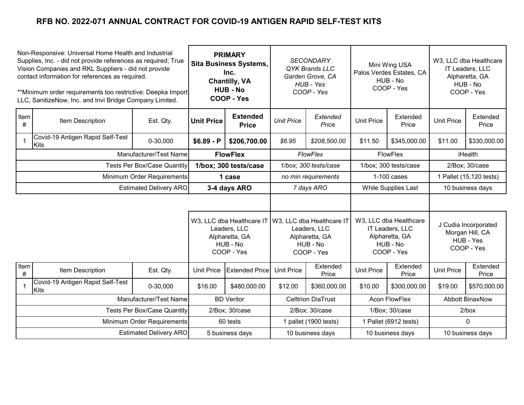| Non-Responsive: Universal Home Health and Industrial<br>Supplies, Inc. - did not provide references as required; True<br>Vision Companies and RKL Suppliers - did not provide<br>contact information for references as required.<br>**Minimum order requirements too restrictive: Deepka Import<br>LLC, SanitizeNow, Inc. and Invi Bridge Company Limited. |                                                 | <b>PRIMARY</b><br><b>Sita Business Systems,</b><br>Inc.<br><b>Chantilly, VA</b><br><b>HUB - No</b><br>COOP - Yes |                   | <b>SECONDARY</b><br>QYK Brands LLC<br>Garden Grove, CA<br>HUB - Yes<br>COOP - Yes     |                       | Mini Wing USA<br>Palos Verdes Estates, CA<br>HUB - No<br>COOP - Yes                   |                       | W3, LLC dba Healthcare<br>IT Leaders, LLC<br>Alpharetta, GA<br>HUB - No<br>COOP - Yes |                        |                   |
|------------------------------------------------------------------------------------------------------------------------------------------------------------------------------------------------------------------------------------------------------------------------------------------------------------------------------------------------------------|-------------------------------------------------|------------------------------------------------------------------------------------------------------------------|-------------------|---------------------------------------------------------------------------------------|-----------------------|---------------------------------------------------------------------------------------|-----------------------|---------------------------------------------------------------------------------------|------------------------|-------------------|
| Item<br>#                                                                                                                                                                                                                                                                                                                                                  | Item Description                                | Est. Qty.                                                                                                        | <b>Unit Price</b> | <b>Extended</b><br><b>Price</b>                                                       | <b>Unit Price</b>     | Extended<br>Price                                                                     | <b>Unit Price</b>     | Extended<br>Price                                                                     | <b>Unit Price</b>      | Extended<br>Price |
| $\mathbf{1}$                                                                                                                                                                                                                                                                                                                                               | Covid-19 Antigen Rapid Self-Test<br>Kits        | 0-30,000                                                                                                         | $$6.89 - P$       | \$206,700.00                                                                          | \$6.95                | \$208,500.00                                                                          | \$11.50               | \$345,000.00                                                                          | \$11.00                | \$330,000.00      |
|                                                                                                                                                                                                                                                                                                                                                            |                                                 | Manufacturer/Test Name                                                                                           |                   | <b>FlowFlex</b>                                                                       | <b>FlowFlex</b>       |                                                                                       |                       | FlowFlex                                                                              | iHealth                |                   |
| <b>Tests Per Box/Case Quantity</b>                                                                                                                                                                                                                                                                                                                         |                                                 | 1/box; 300 tests/case                                                                                            |                   | 1/box; 300 tests/case                                                                 |                       | 1/box; 300 tests/case                                                                 |                       | 2/Box; 30/case                                                                        |                        |                   |
| Minimum Order Requirements                                                                                                                                                                                                                                                                                                                                 |                                                 | 1 case                                                                                                           |                   | no min requirements                                                                   |                       | $1-100$ cases                                                                         |                       | 1 Pallet (15,120 tests)                                                               |                        |                   |
| <b>Estimated Delivery ARO</b>                                                                                                                                                                                                                                                                                                                              |                                                 | 3-4 days ARO                                                                                                     |                   | 7 days ARO                                                                            |                       | While Supplies Last                                                                   |                       |                                                                                       | 10 business days       |                   |
|                                                                                                                                                                                                                                                                                                                                                            |                                                 |                                                                                                                  |                   |                                                                                       |                       |                                                                                       |                       |                                                                                       |                        |                   |
|                                                                                                                                                                                                                                                                                                                                                            |                                                 | W3, LLC dba Healthcare IT<br>Leaders, LLC<br>Alpharetta, GA<br>HUB - No<br>COOP - Yes                            |                   | W3, LLC dba Healthcare IT<br>Leaders, LLC<br>Alpharetta, GA<br>HUB - No<br>COOP - Yes |                       | W3, LLC dba Healthcare<br>IT Leaders, LLC<br>Alpharetta, GA<br>HUB - No<br>COOP - Yes |                       | J Cudia Incorporated<br>Morgan Hill, CA<br>HUB - Yes<br>COOP - Yes                    |                        |                   |
| <b>I</b> tem<br>$\#$                                                                                                                                                                                                                                                                                                                                       | Item Description                                | Est. Qty.                                                                                                        | <b>Unit Price</b> | <b>Extended Price</b>                                                                 | <b>Unit Price</b>     | Extended<br>Price                                                                     | <b>Unit Price</b>     | Extended<br>Price                                                                     | <b>Unit Price</b>      | Extended<br>Price |
| $\mathbf{1}$                                                                                                                                                                                                                                                                                                                                               | Covid-19 Antigen Rapid Self-Test<br><b>Kits</b> | 0-30,000                                                                                                         | \$16.00           | \$480,000.00                                                                          | \$12.00               | \$360,000.00                                                                          | \$10.00               | \$300,000.00                                                                          | \$19.00                | \$570,000.00      |
|                                                                                                                                                                                                                                                                                                                                                            |                                                 | Manufacturer/Test Name                                                                                           |                   | <b>BD Veritor</b>                                                                     |                       | <b>Celltrion DiaTrust</b>                                                             |                       | <b>Acon FlowFlex</b>                                                                  | <b>Abbott BinaxNow</b> |                   |
|                                                                                                                                                                                                                                                                                                                                                            |                                                 | <b>Tests Per Box/Case Quantity</b>                                                                               |                   | 2/Box; 30/case                                                                        |                       | 2/Box; 30/case                                                                        | 1/Box; 30/case        |                                                                                       |                        | 2/box             |
|                                                                                                                                                                                                                                                                                                                                                            |                                                 | Minimum Order Requirements                                                                                       |                   | 60 tests                                                                              | 1 pallet (1900 tests) |                                                                                       | 1 Pallet (6912 tests) |                                                                                       | $\mathbf{0}$           |                   |
|                                                                                                                                                                                                                                                                                                                                                            |                                                 | <b>Estimated Delivery ARO</b>                                                                                    | 5 business days   |                                                                                       | 10 business days      |                                                                                       | 10 business days      |                                                                                       | 10 business days       |                   |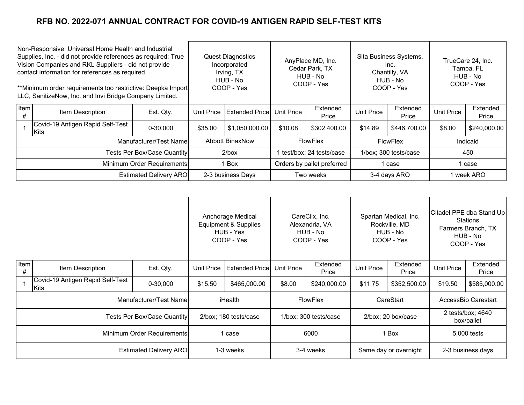| Non-Responsive: Universal Home Health and Industrial<br>Supplies, Inc. - did not provide references as required; True<br>Vision Companies and RKL Suppliers - did not provide<br>contact information for references as required.<br>**Minimum order requirements too restrictive: Deepka Import<br>LLC, SanitizeNow, Inc. and Invi Bridge Company Limited. |                                          | <b>Quest Diagnostics</b><br>Incorporated<br>Irving, TX<br>HUB - No<br>COOP - Yes |                        | AnyPlace MD, Inc.<br>Cedar Park, TX<br>HUB - No<br>COOP - Yes |                 | Sita Business Systems,<br>Inc.<br>Chantilly, VA<br>HUB - No<br>COOP - Yes |                   | TrueCare 24, Inc.<br>Tampa, FL<br>HUB - No<br>COOP - Yes |                   |                   |
|------------------------------------------------------------------------------------------------------------------------------------------------------------------------------------------------------------------------------------------------------------------------------------------------------------------------------------------------------------|------------------------------------------|----------------------------------------------------------------------------------|------------------------|---------------------------------------------------------------|-----------------|---------------------------------------------------------------------------|-------------------|----------------------------------------------------------|-------------------|-------------------|
| Item<br>#                                                                                                                                                                                                                                                                                                                                                  | Item Description                         | Est. Qty.                                                                        | <b>Unit Price</b>      | <b>Extended Price</b>                                         | Unit Price      | Extended<br>Price                                                         | <b>Unit Price</b> | Extended<br>Price                                        | <b>Unit Price</b> | Extended<br>Price |
|                                                                                                                                                                                                                                                                                                                                                            | Covid-19 Antigen Rapid Self-Test<br>Kits | 0-30,000                                                                         | \$35.00                | \$1,050,000.00                                                | \$10.08         | \$302,400.00                                                              | \$14.89           | \$446,700.00                                             | \$8.00            | \$240,000.00      |
|                                                                                                                                                                                                                                                                                                                                                            |                                          | Manufacturer/Test Name                                                           | <b>Abbott BinaxNow</b> |                                                               | <b>FlowFlex</b> |                                                                           | <b>FlowFlex</b>   |                                                          | Indicaid          |                   |
| Tests Per Box/Case Quantity                                                                                                                                                                                                                                                                                                                                |                                          |                                                                                  | $2/b$ ox               | test/box; 24 tests/case                                       |                 | 1/box; 300 tests/case                                                     |                   | 450                                                      |                   |                   |
| Minimum Order Requirements                                                                                                                                                                                                                                                                                                                                 |                                          | 1 Box                                                                            |                        | Orders by pallet preferred                                    |                 | 1 case                                                                    |                   | case                                                     |                   |                   |
|                                                                                                                                                                                                                                                                                                                                                            |                                          | <b>Estimated Delivery ARO</b>                                                    |                        | 2-3 business Days                                             | Two weeks       |                                                                           | 3-4 days ARO      |                                                          | l week ARO        |                   |

|                               |                                          |                        |                       | Anchorage Medical<br>Equipment & Supplies<br>HUB - Yes<br>COOP - Yes |                       | CareClix, Inc.<br>Alexandria, VA<br>HUB - No<br>COOP - Yes |                    | Spartan Medical, Inc.<br>Rockville, MD<br>HUB - No<br>COOP - Yes |                                 | Citadel PPE dba Stand Up<br><b>Stations</b><br>Farmers Branch, TX<br>HUB - No<br>COOP - Yes |
|-------------------------------|------------------------------------------|------------------------|-----------------------|----------------------------------------------------------------------|-----------------------|------------------------------------------------------------|--------------------|------------------------------------------------------------------|---------------------------------|---------------------------------------------------------------------------------------------|
| Item<br>#                     | Item Description                         | Est. Qty.              | <b>Unit Price</b>     | <b>Extended Price</b>                                                | Unit Price            | Extended<br>Price                                          | Unit Price         | Extended<br>Price                                                | <b>Unit Price</b>               | Extended<br>Price                                                                           |
|                               | Covid-19 Antigen Rapid Self-Test<br>Kits | 0-30,000               | \$15.50               | \$465,000.00                                                         | \$8.00                | \$240,000.00                                               | \$11.75            | \$352,500.00                                                     | \$19.50                         | \$585,000.00                                                                                |
|                               |                                          | Manufacturer/Test Name | iHealth               |                                                                      | <b>FlowFlex</b>       |                                                            | CareStart          |                                                                  | AccessBio Carestart             |                                                                                             |
|                               | <b>Tests Per Box/Case Quantity</b>       |                        | 2/box; 180 tests/case |                                                                      | 1/box; 300 tests/case |                                                            | 2/box; 20 box/case |                                                                  | 2 tests/box; 4640<br>box/pallet |                                                                                             |
| Minimum Order Requirements    |                                          | 1 case                 |                       | 6000                                                                 |                       | 1 Box                                                      |                    | 5,000 tests                                                      |                                 |                                                                                             |
| <b>Estimated Delivery ARO</b> |                                          | 1-3 weeks              |                       | 3-4 weeks                                                            |                       | Same day or overnight                                      |                    | 2-3 business days                                                |                                 |                                                                                             |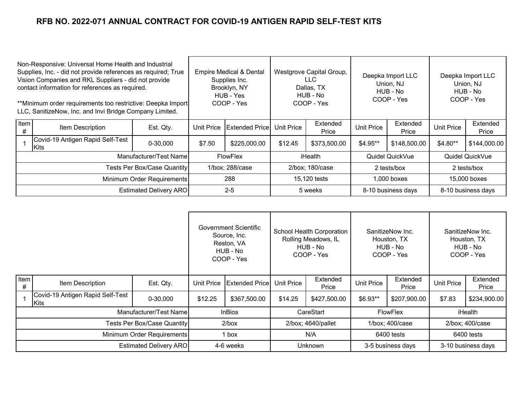| Non-Responsive: Universal Home Health and Industrial<br>Supplies, Inc. - did not provide references as required; True<br>Vision Companies and RKL Suppliers - did not provide<br>contact information for references as required.<br>**Minimum order requirements too restrictive: Deepka Import<br>LLC, SanitizeNow, Inc. and Invi Bridge Company Limited. |                                                  |                               | <b>Empire Medical &amp; Dental</b><br>Supplies Inc.<br>Brooklyn, NY<br>HUB - Yes<br>COOP - Yes |                        | Westgrove Capital Group,<br>LLC.<br>Dallas, TX<br>HUB - No<br>COOP - Yes |                   | Deepka Import LLC<br>Union, NJ<br>HUB - No<br>COOP - Yes |              | Deepka Import LLC<br>Union, NJ<br>HUB - No<br>COOP - Yes |                   |
|------------------------------------------------------------------------------------------------------------------------------------------------------------------------------------------------------------------------------------------------------------------------------------------------------------------------------------------------------------|--------------------------------------------------|-------------------------------|------------------------------------------------------------------------------------------------|------------------------|--------------------------------------------------------------------------|-------------------|----------------------------------------------------------|--------------|----------------------------------------------------------|-------------------|
| Item<br>#                                                                                                                                                                                                                                                                                                                                                  | Item Description                                 | Est. Qty.                     | <b>Unit Price</b>                                                                              | <b>Extended Pricel</b> | Unit Price                                                               | Extended<br>Price | Extended<br><b>Unit Price</b><br>Price                   |              | <b>Unit Price</b>                                        | Extended<br>Price |
|                                                                                                                                                                                                                                                                                                                                                            | Covid-19 Antigen Rapid Self-Test<br><b>IKits</b> | 0-30,000                      | \$7.50                                                                                         | \$225,000.00           | \$12.45                                                                  | \$373,500.00      | \$4.95**                                                 | \$148,500.00 | \$4.80**                                                 | \$144,000.00      |
|                                                                                                                                                                                                                                                                                                                                                            |                                                  | Manufacturer/Test Name        | <b>FlowFlex</b>                                                                                |                        | iHealth                                                                  |                   | Quidel QuickVue                                          |              | Quidel QuickVue                                          |                   |
| Tests Per Box/Case Quantity                                                                                                                                                                                                                                                                                                                                |                                                  | 1/box; 288/case               |                                                                                                | 2/box; 180/case        |                                                                          | 2 tests/box       |                                                          | 2 tests/box  |                                                          |                   |
| Minimum Order Requirements                                                                                                                                                                                                                                                                                                                                 |                                                  | 288                           |                                                                                                | 15,120 tests           |                                                                          | $1,000$ boxes     |                                                          | 15,000 boxes |                                                          |                   |
|                                                                                                                                                                                                                                                                                                                                                            |                                                  | <b>Estimated Delivery ARO</b> |                                                                                                | $2 - 5$                | 5 weeks                                                                  |                   | 8-10 business days                                       |              | 8-10 business days                                       |                   |

|                             |                                                  |                               |               | Government Scientific<br>Source, Inc.<br>Reston, VA<br>HUB - No<br>COOP - Yes |                   | School Health Corporation<br>Rolling Meadows, IL<br>HUB - No<br>COOP - Yes |                   | SanitizeNow Inc.<br>Houston, TX<br>HUB - No<br>COOP - Yes | SanitizeNow Inc.<br>Houston, TX<br>HUB - No<br>COOP - Yes |                   |
|-----------------------------|--------------------------------------------------|-------------------------------|---------------|-------------------------------------------------------------------------------|-------------------|----------------------------------------------------------------------------|-------------------|-----------------------------------------------------------|-----------------------------------------------------------|-------------------|
| Item<br>#                   | Item Description                                 | Est. Qty.                     | Unit Price    | <b>Extended Price</b>                                                         | <b>Unit Price</b> | Extended<br>Price                                                          | <b>Unit Price</b> | Extended<br>Price                                         | <b>Unit Price</b>                                         | Extended<br>Price |
|                             | Covid-19 Antigen Rapid Self-Test<br><b>IKits</b> | 0-30,000                      | \$12.25       | \$367,500.00                                                                  | \$14.25           | \$427,500.00                                                               | $$6.93**$         | \$207,900.00                                              | \$7.83                                                    | \$234,900.00      |
|                             |                                                  | Manufacturer/Test Name        | <b>InBios</b> |                                                                               | CareStart         |                                                                            | <b>FlowFlex</b>   |                                                           | iHealth                                                   |                   |
| Tests Per Box/Case Quantity |                                                  | $2/b$ ox                      |               | 2/box; 4640/pallet                                                            |                   | 1/box; 400/case                                                            |                   | 2/box; 400/case                                           |                                                           |                   |
| Minimum Order Requirements  |                                                  | 1 box                         |               | N/A                                                                           |                   | 6400 tests                                                                 |                   | 6400 tests                                                |                                                           |                   |
|                             |                                                  | <b>Estimated Delivery ARO</b> |               | 4-6 weeks                                                                     | <b>Unknown</b>    |                                                                            | 3-5 business days |                                                           | 3-10 business days                                        |                   |